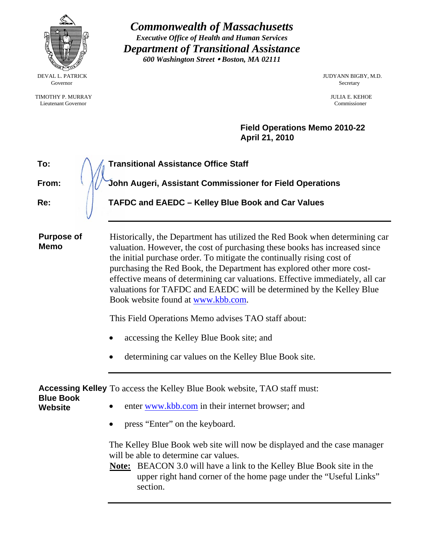| ķ<br>avır<br>ò,<br><b>CONTRACTOR</b><br><b>Collage Rivers</b> |
|---------------------------------------------------------------|

Governor Secretary Secretary Secretary Secretary Secretary Secretary Secretary Secretary Secretary Secretary Secretary Secretary Secretary Secretary Secretary Secretary Secretary Secretary Secretary Secretary Secretary Sec

TIMOTHY P. MURRAY JULIA E. KEHOE Lieutenant Governor Commissioner

*Commonwealth of Massachusetts Executive Office of Health and Human Services Department of Transitional Assistance 600 Washington Street* y *Boston, MA 02111* 

DEVAL L. PATRICK JUDYANN BIGBY, M.D.

**Field Operations Memo 2010-22 April 21, 2010**

| To:                                | <b>Transitional Assistance Office Staff</b>                                                                                                                                                                                                                                                                                                                                                                                                                                                                                                                                                                    |
|------------------------------------|----------------------------------------------------------------------------------------------------------------------------------------------------------------------------------------------------------------------------------------------------------------------------------------------------------------------------------------------------------------------------------------------------------------------------------------------------------------------------------------------------------------------------------------------------------------------------------------------------------------|
| From:                              | John Augeri, Assistant Commissioner for Field Operations                                                                                                                                                                                                                                                                                                                                                                                                                                                                                                                                                       |
| Re:                                | TAFDC and EAEDC - Kelley Blue Book and Car Values                                                                                                                                                                                                                                                                                                                                                                                                                                                                                                                                                              |
| <b>Purpose of</b><br><b>Memo</b>   | Historically, the Department has utilized the Red Book when determining car<br>valuation. However, the cost of purchasing these books has increased since<br>the initial purchase order. To mitigate the continually rising cost of<br>purchasing the Red Book, the Department has explored other more cost-<br>effective means of determining car valuations. Effective immediately, all car<br>valuations for TAFDC and EAEDC will be determined by the Kelley Blue<br>Book website found at www.kbb.com.<br>This Field Operations Memo advises TAO staff about:<br>accessing the Kelley Blue Book site; and |
|                                    | determining car values on the Kelley Blue Book site.                                                                                                                                                                                                                                                                                                                                                                                                                                                                                                                                                           |
| <b>Blue Book</b><br><b>Website</b> | <b>Accessing Kelley</b> To access the Kelley Blue Book website, TAO staff must:<br>enter www.kbb.com in their internet browser; and<br>press "Enter" on the keyboard.<br>The Kelley Blue Book web site will now be displayed and the case manager                                                                                                                                                                                                                                                                                                                                                              |

will be able to determine car values. **Note:** BEACON 3.0 will have a link to the Kelley Blue Book site in the

upper right hand corner of the home page under the "Useful Links" section.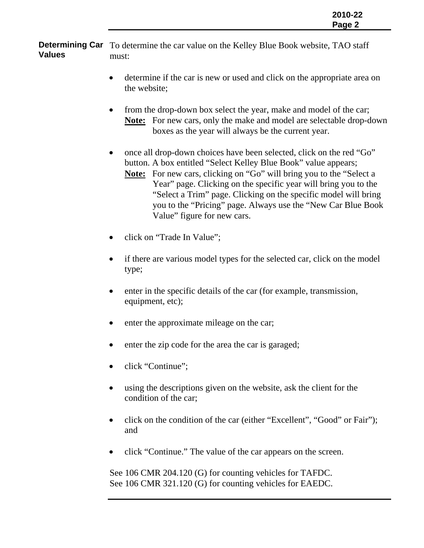**Determining Car** To determine the car value on the Kelley Blue Book website, TAO staff **Values**  must:

- determine if the car is new or used and click on the appropriate area on the website;
- from the drop-down box select the year, make and model of the car; **Note:** For new cars, only the make and model are selectable drop-down boxes as the year will always be the current year.
- once all drop-down choices have been selected, click on the red "Go" button. A box entitled "Select Kelley Blue Book" value appears; **Note:** For new cars, clicking on "Go" will bring you to the "Select a Year" page. Clicking on the specific year will bring you to the "Select a Trim" page. Clicking on the specific model will bring you to the "Pricing" page. Always use the "New Car Blue Book Value" figure for new cars.
- click on "Trade In Value";
- if there are various model types for the selected car, click on the model type;
- enter in the specific details of the car (for example, transmission, equipment, etc);
- enter the approximate mileage on the car;
- enter the zip code for the area the car is garaged;
- click "Continue";
- using the descriptions given on the website, ask the client for the condition of the car;
- click on the condition of the car (either "Excellent", "Good" or Fair"); and
- click "Continue." The value of the car appears on the screen.

See 106 CMR 204.120 (G) for counting vehicles for TAFDC. See 106 CMR 321.120 (G) for counting vehicles for EAEDC.